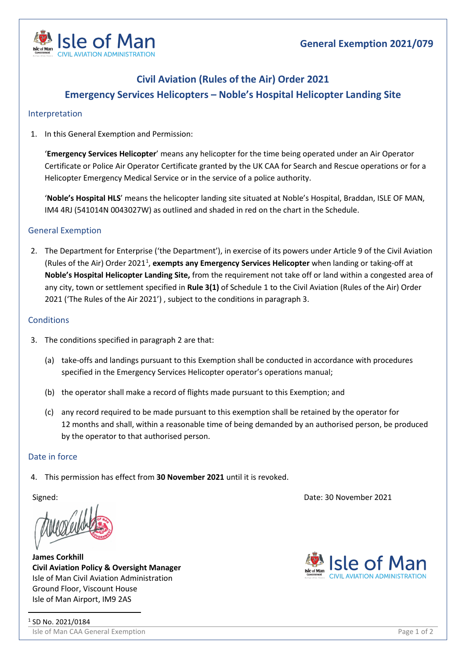

# **Civil Aviation (Rules of the Air) Order 2021 Emergency Services Helicopters – Noble's Hospital Helicopter Landing Site**

### Interpretation

1. In this General Exemption and Permission:

'**Emergency Services Helicopter**' means any helicopter for the time being operated under an Air Operator Certificate or Police Air Operator Certificate granted by the UK CAA for Search and Rescue operations or for a Helicopter Emergency Medical Service or in the service of a police authority.

'**Noble's Hospital HLS**' means the helicopter landing site situated at Noble's Hospital, Braddan, ISLE OF MAN, IM4 4RJ (541014N 0043027W) as outlined and shaded in red on the chart in the Schedule.

## General Exemption

2. The Department for Enterprise ('the Department'), in exercise of its powers under Article 9 of the Civil Aviation (Rules of the Air) Order 202[1](#page-0-0)<sup>1</sup>, exempts any Emergency Services Helicopter when landing or taking-off at **Noble's Hospital Helicopter Landing Site,** from the requirement not take off or land within a congested area of any city, town or settlement specified in **Rule 3(1)** of Schedule 1 to the Civil Aviation (Rules of the Air) Order 2021 ('The Rules of the Air 2021') , subject to the conditions in paragraph 3.

### **Conditions**

- 3. The conditions specified in paragraph 2 are that:
	- (a) take-offs and landings pursuant to this Exemption shall be conducted in accordance with procedures specified in the Emergency Services Helicopter operator's operations manual;
	- (b) the operator shall make a record of flights made pursuant to this Exemption; and
	- (c) any record required to be made pursuant to this exemption shall be retained by the operator for 12 months and shall, within a reasonable time of being demanded by an authorised person, be produced by the operator to that authorised person.

### Date in force

4. This permission has effect from **30 November 2021** until it is revoked.

<span id="page-0-0"></span>**James Corkhill Civil Aviation Policy & Oversight Manager** Isle of Man Civil Aviation Administration Ground Floor, Viscount House Isle of Man Airport, IM9 2AS

Signed: Date: 30 November 2021